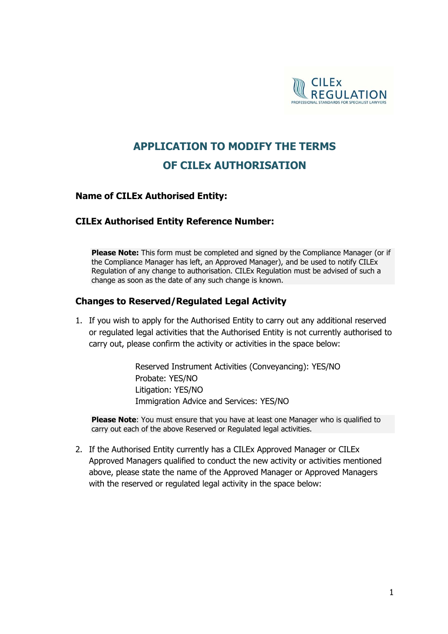

# **APPLICATION TO MODIFY THE TERMS OF CILEx AUTHORISATION**

#### **Name of CILEx Authorised Entity:**

#### **CILEx Authorised Entity Reference Number:**

**Please Note:** This form must be completed and signed by the Compliance Manager (or if the Compliance Manager has left, an Approved Manager), and be used to notify CILEx Regulation of any change to authorisation. CILEx Regulation must be advised of such a change as soon as the date of any such change is known.

#### **Changes to Reserved/Regulated Legal Activity**

1. If you wish to apply for the Authorised Entity to carry out any additional reserved or regulated legal activities that the Authorised Entity is not currently authorised to carry out, please confirm the activity or activities in the space below:

> Reserved Instrument Activities (Conveyancing): YES/NO Probate: YES/NO Litigation: YES/NO Immigration Advice and Services: YES/NO

**Please Note**: You must ensure that you have at least one Manager who is qualified to carry out each of the above Reserved or Regulated legal activities.

2. If the Authorised Entity currently has a CILEx Approved Manager or CILEx Approved Managers qualified to conduct the new activity or activities mentioned above, please state the name of the Approved Manager or Approved Managers with the reserved or regulated legal activity in the space below: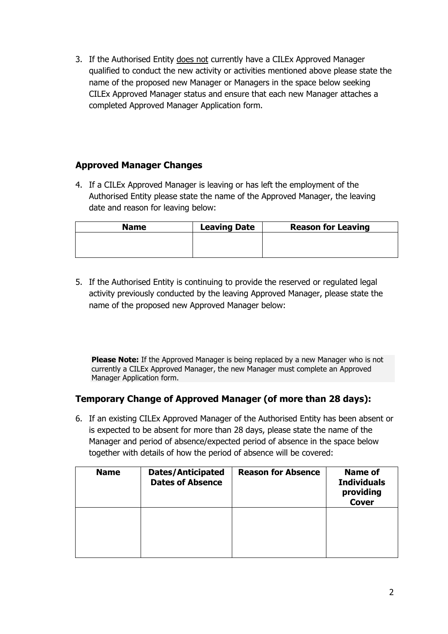3. If the Authorised Entity does not currently have a CILEx Approved Manager qualified to conduct the new activity or activities mentioned above please state the name of the proposed new Manager or Managers in the space below seeking CILEx Approved Manager status and ensure that each new Manager attaches a completed Approved Manager Application form.

# **Approved Manager Changes**

4. If a CILEx Approved Manager is leaving or has left the employment of the Authorised Entity please state the name of the Approved Manager, the leaving date and reason for leaving below:

| <b>Name</b> | <b>Leaving Date</b> | <b>Reason for Leaving</b> |
|-------------|---------------------|---------------------------|
|             |                     |                           |
|             |                     |                           |
|             |                     |                           |

5. If the Authorised Entity is continuing to provide the reserved or regulated legal activity previously conducted by the leaving Approved Manager, please state the name of the proposed new Approved Manager below:

**Please Note:** If the Approved Manager is being replaced by a new Manager who is not currently a CILEx Approved Manager, the new Manager must complete an Approved Manager Application form.

### **Temporary Change of Approved Manager (of more than 28 days):**

6. If an existing CILEx Approved Manager of the Authorised Entity has been absent or is expected to be absent for more than 28 days, please state the name of the Manager and period of absence/expected period of absence in the space below together with details of how the period of absence will be covered:

| <b>Name</b> | <b>Dates/Anticipated</b><br><b>Dates of Absence</b> | <b>Reason for Absence</b> | <b>Name of</b><br><b>Individuals</b><br>providing<br><b>Cover</b> |
|-------------|-----------------------------------------------------|---------------------------|-------------------------------------------------------------------|
|             |                                                     |                           |                                                                   |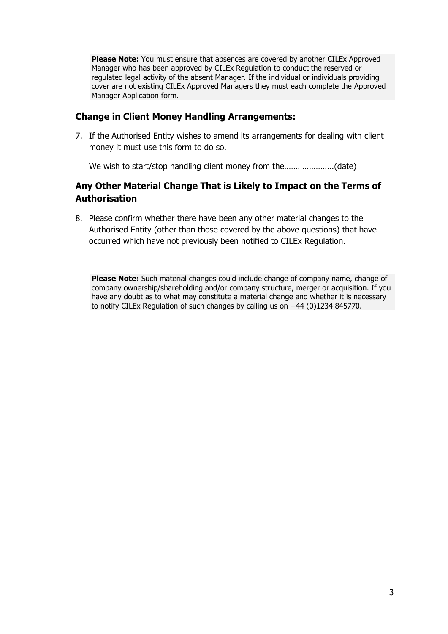**Please Note:** You must ensure that absences are covered by another CILEx Approved Manager who has been approved by CILEx Regulation to conduct the reserved or regulated legal activity of the absent Manager. If the individual or individuals providing cover are not existing CILEx Approved Managers they must each complete the Approved Manager Application form.

## **Change in Client Money Handling Arrangements:**

7. If the Authorised Entity wishes to amend its arrangements for dealing with client money it must use this form to do so.

We wish to start/stop handling client money from the………………….(date)

# **Any Other Material Change That is Likely to Impact on the Terms of Authorisation**

8. Please confirm whether there have been any other material changes to the Authorised Entity (other than those covered by the above questions) that have occurred which have not previously been notified to CILEx Regulation.

**Please Note:** Such material changes could include change of company name, change of company ownership/shareholding and/or company structure, merger or acquisition. If you have any doubt as to what may constitute a material change and whether it is necessary to notify CILEx Regulation of such changes by calling us on +44 (0)1234 845770.